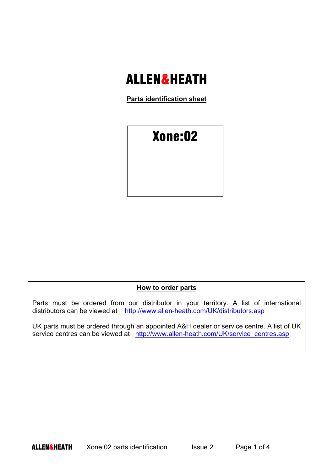## ALLEN&HEATH

**Parts identification sheet**



## **How to order parts**

Parts must be ordered from our distributor in your territory. A list of international distributors can be viewed at http://www.allen-heath.com/UK/distributors.asp

UK parts must be ordered through an appointed A&H dealer or service centre. A list of UK service centres can be viewed at http://www.allen-heath.com/UK/service\_centres.asp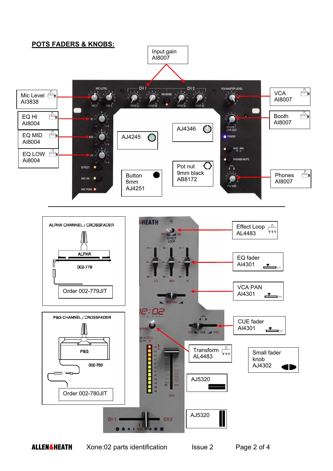

**ALLEN&HEATH** Xone:02 parts identification Issue 2 Page 2 of 4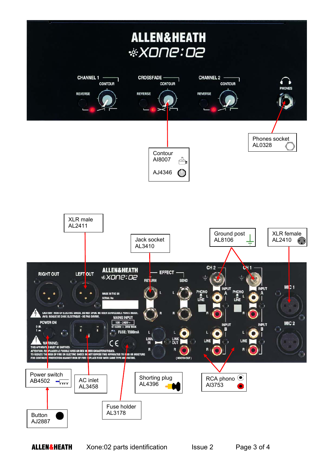